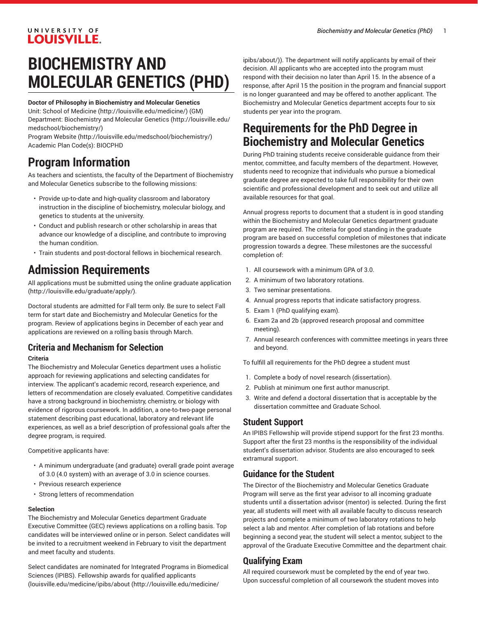### UNIVERSITY OF **LOUISVILLE.**

# **BIOCHEMISTRY AND MOLECULAR GENETICS (PHD)**

#### **Doctor of Philosophy in Biochemistry and Molecular Genetics**

Unit: [School of Medicine \(http://louisville.edu/medicine/\)](http://louisville.edu/medicine/) (GM) Department: [Biochemistry](http://louisville.edu/medschool/biochemistry/) and Molecular Genetics [\(http://louisville.edu/](http://louisville.edu/medschool/biochemistry/) [medschool/biochemistry/](http://louisville.edu/medschool/biochemistry/))

[Program](http://louisville.edu/medschool/biochemistry/) Website [\(http://louisville.edu/medschool/biochemistry/](http://louisville.edu/medschool/biochemistry/)) Academic Plan Code(s): BIOCPHD

## **Program Information**

As teachers and scientists, the faculty of the Department of Biochemistry and Molecular Genetics subscribe to the following missions:

- Provide up-to-date and high-quality classroom and laboratory instruction in the discipline of biochemistry, molecular biology, and genetics to students at the university.
- Conduct and publish research or other scholarship in areas that advance our knowledge of a discipline, and contribute to improving the human condition.
- Train students and post-doctoral fellows in biochemical research.

## **Admission Requirements**

All applications must be submitted using the online [graduate application](http://louisville.edu/graduate/apply/) ([http://louisville.edu/graduate/apply/\)](http://louisville.edu/graduate/apply/).

Doctoral students are admitted for Fall term only. Be sure to select Fall term for start date and Biochemistry and Molecular Genetics for the program. Review of applications begins in December of each year and applications are reviewed on a rolling basis through March.

## **Criteria and Mechanism for Selection**

#### **Criteria**

The Biochemistry and Molecular Genetics department uses a holistic approach for reviewing applications and selecting candidates for interview. The applicant's academic record, research experience, and letters of recommendation are closely evaluated. Competitive candidates have a strong background in biochemistry, chemistry, or biology with evidence of rigorous coursework. In addition, a one-to-two-page personal statement describing past educational, laboratory and relevant life experiences, as well as a brief description of professional goals after the degree program, is required.

Competitive applicants have:

- A minimum undergraduate (and graduate) overall grade point average of 3.0 (4.0 system) with an average of 3.0 in science courses.
- Previous research experience
- Strong letters of recommendation

#### **Selection**

The Biochemistry and Molecular Genetics department Graduate Executive Committee (GEC) reviews applications on a rolling basis. Top candidates will be interviewed online or in person. Select candidates will be invited to a recruitment weekend in February to visit the department and meet faculty and students.

Select candidates are nominated for Integrated Programs in Biomedical Sciences (IPIBS). Fellowship awards for qualified applicants ([louisville.edu/medicine/ipibs/about](http://louisville.edu/medicine/ipibs/about/) [\(http://louisville.edu/medicine/](http://louisville.edu/medicine/ipibs/about/)

[ipibs/about/](http://louisville.edu/medicine/ipibs/about/))). The department will notify applicants by email of their decision. All applicants who are accepted into the program must respond with their decision no later than April 15. In the absence of a response, after April 15 the position in the program and financial support is no longer guaranteed and may be offered to another applicant. The Biochemistry and Molecular Genetics department accepts four to six students per year into the program.

## **Requirements for the PhD Degree in Biochemistry and Molecular Genetics**

During PhD training students receive considerable guidance from their mentor, committee, and faculty members of the department. However, students need to recognize that individuals who pursue a biomedical graduate degree are expected to take full responsibility for their own scientific and professional development and to seek out and utilize all available resources for that goal.

Annual progress reports to document that a student is in good standing within the Biochemistry and Molecular Genetics department graduate program are required. The criteria for good standing in the graduate program are based on successful completion of milestones that indicate progression towards a degree. These milestones are the successful completion of:

- 1. All coursework with a minimum GPA of 3.0.
- 2. A minimum of two laboratory rotations.
- 3. Two seminar presentations.
- 4. Annual progress reports that indicate satisfactory progress.
- 5. Exam 1 (PhD qualifying exam).
- 6. Exam 2a and 2b (approved research proposal and committee meeting).
- 7. Annual research conferences with committee meetings in years three and beyond.

To fulfill all requirements for the PhD degree a student must

- 1. Complete a body of novel research (dissertation).
- 2. Publish at minimum one first author manuscript.
- 3. Write and defend a doctoral dissertation that is acceptable by the dissertation committee and Graduate School.

### **Student Support**

An IPIBS Fellowship will provide stipend support for the first 23 months. Support after the first 23 months is the responsibility of the individual student's dissertation advisor. Students are also encouraged to seek extramural support.

### **Guidance for the Student**

The Director of the Biochemistry and Molecular Genetics Graduate Program will serve as the first year advisor to all incoming graduate students until a dissertation advisor (mentor) is selected. During the first year, all students will meet with all available faculty to discuss research projects and complete a minimum of two laboratory rotations to help select a lab and mentor. After completion of lab rotations and before beginning a second year, the student will select a mentor, subject to the approval of the Graduate Executive Committee and the department chair.

### **Qualifying Exam**

All required coursework must be completed by the end of year two. Upon successful completion of all coursework the student moves into